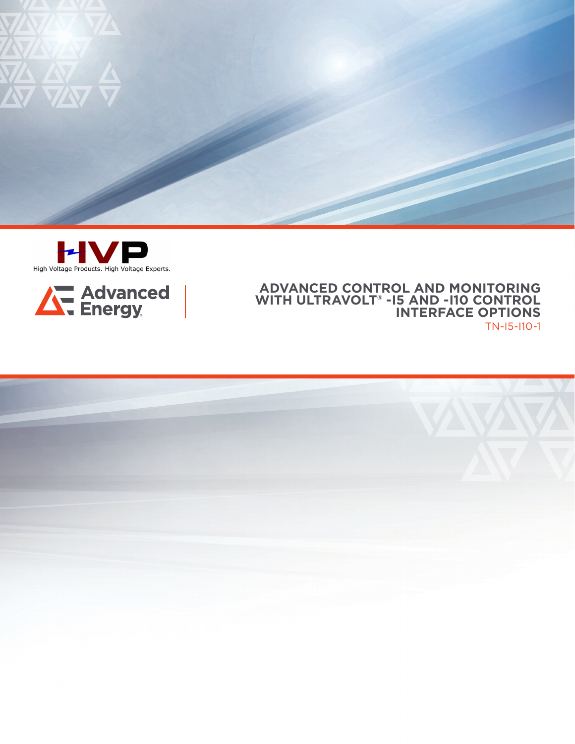





## **ADVANCED CONTROL AND MONITORING WITH ULTRAVOLT® -I5 AND -I10 CONTROL INTERFACE OPTIONS**  TN-I5-I10-1

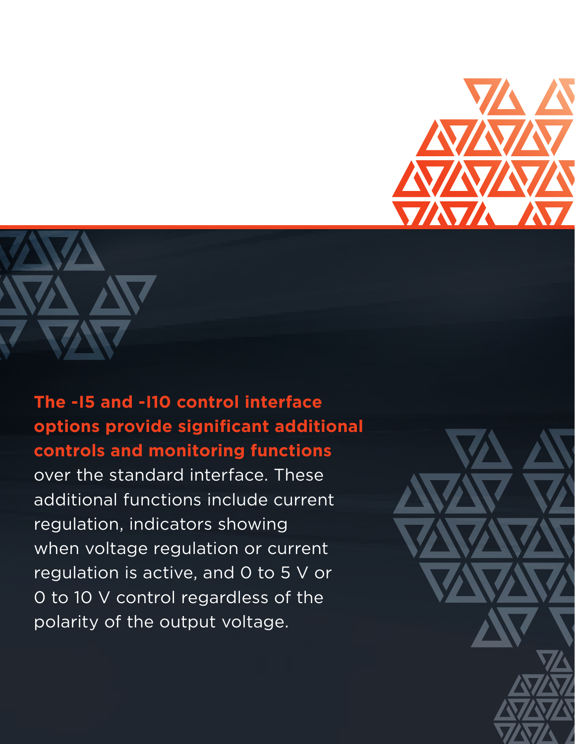



## **The -I5 and -I10 control interface options provide significant additional controls and monitoring functions**

over the standard interface. These additional functions include current regulation, indicators showing when voltage regulation or current regulation is active, and 0 to 5 V or 0 to 10 V control regardless of the polarity of the output voltage.

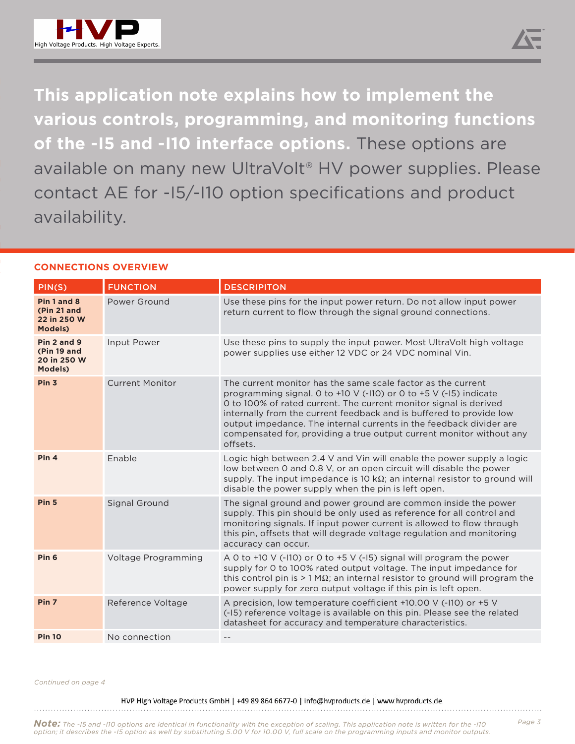

**This application note explains how to implement the various controls, programming, and monitoring functions of the -I5 and -I10 interface options.** These options are available on many new UltraVolt® HV power supplies. Please contact AE for -I5/-I10 option specifications and product availability.

## **CONNECTIONS OVERVIEW**

| PIN(S)                                                      | <b>FUNCTION</b>        | <b>DESCRIPITON</b>                                                                                                                                                                                                                                                                                                                                                                                                                       |
|-------------------------------------------------------------|------------------------|------------------------------------------------------------------------------------------------------------------------------------------------------------------------------------------------------------------------------------------------------------------------------------------------------------------------------------------------------------------------------------------------------------------------------------------|
| Pin 1 and 8<br>(Pin 21 and<br>22 in 250 W<br><b>Models)</b> | Power Ground           | Use these pins for the input power return. Do not allow input power<br>return current to flow through the signal ground connections.                                                                                                                                                                                                                                                                                                     |
| Pin 2 and 9<br>(Pin 19 and<br>20 in 250 W<br>Models)        | Input Power            | Use these pins to supply the input power. Most UltraVolt high voltage<br>power supplies use either 12 VDC or 24 VDC nominal Vin.                                                                                                                                                                                                                                                                                                         |
| Pin <sub>3</sub>                                            | <b>Current Monitor</b> | The current monitor has the same scale factor as the current<br>programming signal. 0 to +10 V (-110) or 0 to +5 V (-15) indicate<br>O to 100% of rated current. The current monitor signal is derived<br>internally from the current feedback and is buffered to provide low<br>output impedance. The internal currents in the feedback divider are<br>compensated for, providing a true output current monitor without any<br>offsets. |
| Pin <sub>4</sub>                                            | Fnable                 | Logic high between 2.4 V and Vin will enable the power supply a logic<br>low between 0 and 0.8 V, or an open circuit will disable the power<br>supply. The input impedance is 10 k $\Omega$ ; an internal resistor to ground will<br>disable the power supply when the pin is left open.                                                                                                                                                 |
| Pin <sub>5</sub>                                            | <b>Signal Ground</b>   | The signal ground and power ground are common inside the power<br>supply. This pin should be only used as reference for all control and<br>monitoring signals. If input power current is allowed to flow through<br>this pin, offsets that will degrade voltage regulation and monitoring<br>accuracy can occur.                                                                                                                         |
| Pin <sub>6</sub>                                            | Voltage Programming    | A 0 to +10 V (-110) or 0 to +5 V (-15) signal will program the power<br>supply for 0 to 100% rated output voltage. The input impedance for<br>this control pin is $> 1$ M $\Omega$ ; an internal resistor to ground will program the<br>power supply for zero output voltage if this pin is left open.                                                                                                                                   |
| Pin <sub>7</sub>                                            | Reference Voltage      | A precision, low temperature coefficient +10.00 V (-110) or +5 V<br>(-15) reference voltage is available on this pin. Please see the related<br>datasheet for accuracy and temperature characteristics.                                                                                                                                                                                                                                  |
| <b>Pin 10</b>                                               | No connection          | $- -$                                                                                                                                                                                                                                                                                                                                                                                                                                    |

*Continued on page 4*

HVP High Voltage Products GmbH | +49 89 864 6677-0 | info@hvproducts.de | www.hvproducts.de 

**Note:** The -I5 and -I10 options are identical in functionality with the exception of scaling. This application note is written for the -I10<br>option; it describes the -I5 option as well by substituting 5.00 V for 10.00 V, f